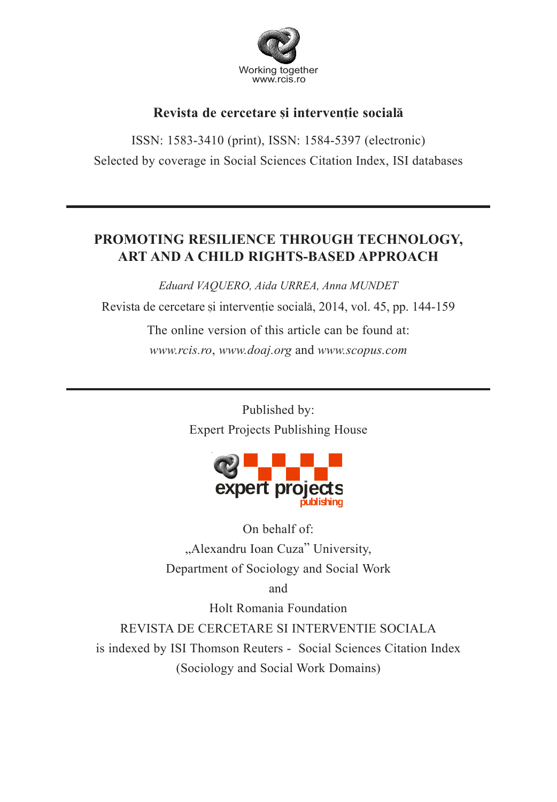

# Revista de cercetare și interventie socială

ISSN: 1583-3410 (print), ISSN: 1584-5397 (electronic) Selected by coverage in Social Sciences Citation Index, ISI databases

# **PROMOTING RESILIENCE THROUGH TECHNOLOGY, ART AND A CHILD RIGHTS-BASED APPROACH**

*Eduard VAQUERO, Aida URREA, Anna MUNDET*

Revista de cercetare și intervenție socială, 2014, vol. 45, pp. 144-159

The online version of this article can be found at: *www.rcis.ro*, *www.doaj.org* and *www.scopus.com*

> Published by: Expert Projects Publishing House



On behalf of: "Alexandru Ioan Cuza" University, Department of Sociology and Social Work

and

Holt Romania Foundation

REVISTA DE CERCETARE SI INTERVENTIE SOCIALA is indexed by ISI Thomson Reuters - Social Sciences Citation Index (Sociology and Social Work Domains)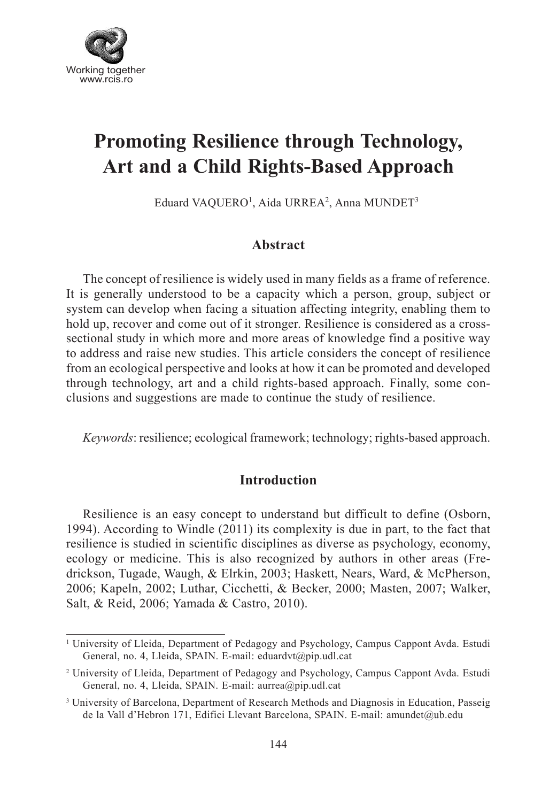

# **Promoting Resilience through Technology, Art and a Child Rights-Based Approach**

Eduard VAQUERO<sup>1</sup>, Aida URREA<sup>2</sup>, Anna MUNDET<sup>3</sup>

## **Abstract**

The concept of resilience is widely used in many fields as a frame of reference. It is generally understood to be a capacity which a person, group, subject or system can develop when facing a situation affecting integrity, enabling them to hold up, recover and come out of it stronger. Resilience is considered as a crosssectional study in which more and more areas of knowledge find a positive way to address and raise new studies. This article considers the concept of resilience from an ecological perspective and looks at how it can be promoted and developed through technology, art and a child rights-based approach. Finally, some conclusions and suggestions are made to continue the study of resilience.

*Keywords*: resilience; ecological framework; technology; rights-based approach.

#### **Introduction**

Resilience is an easy concept to understand but difficult to define (Osborn, 1994). According to Windle (2011) its complexity is due in part, to the fact that resilience is studied in scientific disciplines as diverse as psychology, economy, ecology or medicine. This is also recognized by authors in other areas (Fredrickson, Tugade, Waugh, & Elrkin, 2003; Haskett, Nears, Ward, & McPherson, 2006; Kapeln, 2002; Luthar, Cicchetti, & Becker, 2000; Masten, 2007; Walker, Salt, & Reid, 2006; Yamada & Castro, 2010).

<sup>&</sup>lt;sup>1</sup> University of Lleida, Department of Pedagogy and Psychology, Campus Cappont Avda. Estudi General, no. 4, Lleida, SPAIN. E-mail: eduardvt@pip.udl.cat

<sup>2</sup> University of Lleida, Department of Pedagogy and Psychology, Campus Cappont Avda. Estudi General, no. 4, Lleida, SPAIN. E-mail: aurrea@pip.udl.cat

<sup>&</sup>lt;sup>3</sup> University of Barcelona, Department of Research Methods and Diagnosis in Education, Passeig de la Vall d'Hebron 171, Edifici Llevant Barcelona, SPAIN. E-mail: amundet@ub.edu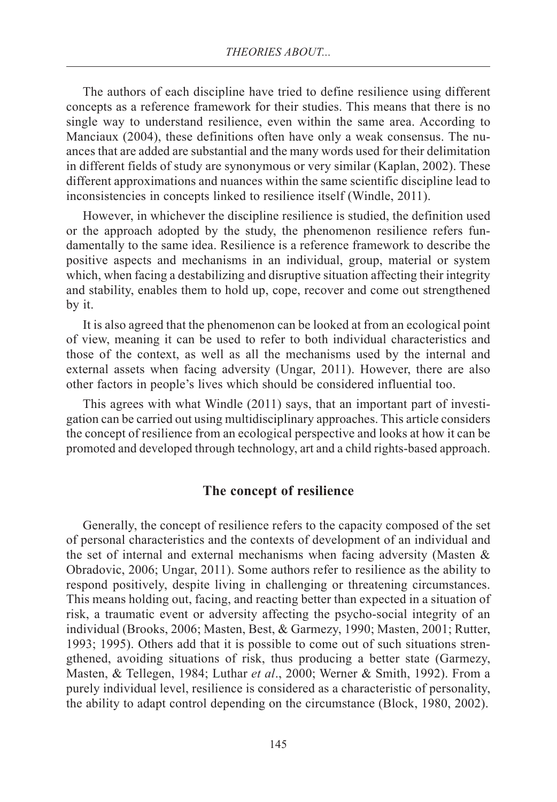The authors of each discipline have tried to define resilience using different concepts as a reference framework for their studies. This means that there is no single way to understand resilience, even within the same area. According to Manciaux (2004), these definitions often have only a weak consensus. The nuances that are added are substantial and the many words used for their delimitation in different fields of study are synonymous or very similar (Kaplan, 2002). These different approximations and nuances within the same scientific discipline lead to inconsistencies in concepts linked to resilience itself (Windle, 2011).

However, in whichever the discipline resilience is studied, the definition used or the approach adopted by the study, the phenomenon resilience refers fundamentally to the same idea. Resilience is a reference framework to describe the positive aspects and mechanisms in an individual, group, material or system which, when facing a destabilizing and disruptive situation affecting their integrity and stability, enables them to hold up, cope, recover and come out strengthened by it.

It is also agreed that the phenomenon can be looked at from an ecological point of view, meaning it can be used to refer to both individual characteristics and those of the context, as well as all the mechanisms used by the internal and external assets when facing adversity (Ungar, 2011). However, there are also other factors in people's lives which should be considered influential too.

This agrees with what Windle (2011) says, that an important part of investigation can be carried out using multidisciplinary approaches. This article considers the concept of resilience from an ecological perspective and looks at how it can be promoted and developed through technology, art and a child rights-based approach.

#### **The concept of resilience**

Generally, the concept of resilience refers to the capacity composed of the set of personal characteristics and the contexts of development of an individual and the set of internal and external mechanisms when facing adversity (Masten & Obradovic, 2006; Ungar, 2011). Some authors refer to resilience as the ability to respond positively, despite living in challenging or threatening circumstances. This means holding out, facing, and reacting better than expected in a situation of risk, a traumatic event or adversity affecting the psycho-social integrity of an individual (Brooks, 2006; Masten, Best, & Garmezy, 1990; Masten, 2001; Rutter, 1993; 1995). Others add that it is possible to come out of such situations strengthened, avoiding situations of risk, thus producing a better state (Garmezy, Masten, & Tellegen, 1984; Luthar *et al*., 2000; Werner & Smith, 1992). From a purely individual level, resilience is considered as a characteristic of personality, the ability to adapt control depending on the circumstance (Block, 1980, 2002).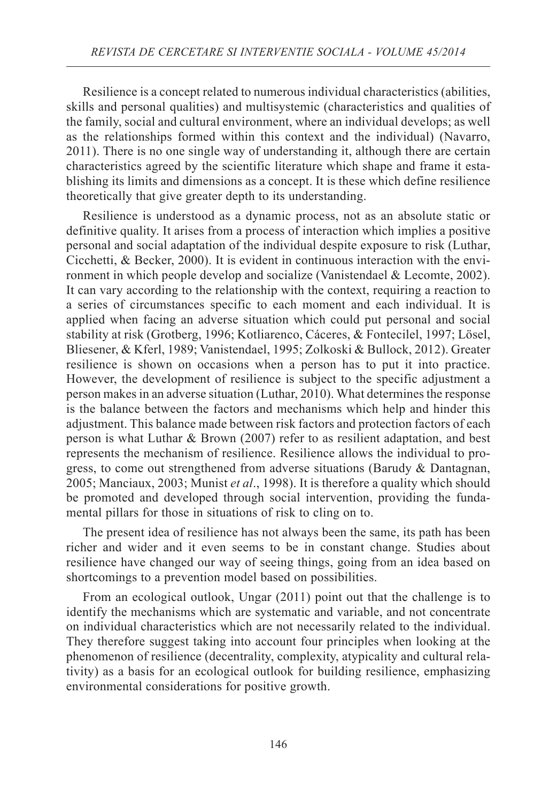Resilience is a concept related to numerous individual characteristics (abilities, skills and personal qualities) and multisystemic (characteristics and qualities of the family, social and cultural environment, where an individual develops; as well as the relationships formed within this context and the individual) (Navarro, 2011). There is no one single way of understanding it, although there are certain characteristics agreed by the scientific literature which shape and frame it establishing its limits and dimensions as a concept. It is these which define resilience theoretically that give greater depth to its understanding.

Resilience is understood as a dynamic process, not as an absolute static or definitive quality. It arises from a process of interaction which implies a positive personal and social adaptation of the individual despite exposure to risk (Luthar, Cicchetti, & Becker, 2000). It is evident in continuous interaction with the environment in which people develop and socialize (Vanistendael & Lecomte, 2002). It can vary according to the relationship with the context, requiring a reaction to a series of circumstances specific to each moment and each individual. It is applied when facing an adverse situation which could put personal and social stability at risk (Grotberg, 1996; Kotliarenco, Cáceres, & Fontecilel, 1997; Lösel, Bliesener, & Kferl, 1989; Vanistendael, 1995; Zolkoski & Bullock, 2012). Greater resilience is shown on occasions when a person has to put it into practice. However, the development of resilience is subject to the specific adjustment a person makes in an adverse situation (Luthar, 2010). What determines the response is the balance between the factors and mechanisms which help and hinder this adjustment. This balance made between risk factors and protection factors of each person is what Luthar & Brown (2007) refer to as resilient adaptation, and best represents the mechanism of resilience. Resilience allows the individual to progress, to come out strengthened from adverse situations (Barudy & Dantagnan, 2005; Manciaux, 2003; Munist *et al*., 1998). It is therefore a quality which should be promoted and developed through social intervention, providing the fundamental pillars for those in situations of risk to cling on to.

The present idea of resilience has not always been the same, its path has been richer and wider and it even seems to be in constant change. Studies about resilience have changed our way of seeing things, going from an idea based on shortcomings to a prevention model based on possibilities.

From an ecological outlook, Ungar (2011) point out that the challenge is to identify the mechanisms which are systematic and variable, and not concentrate on individual characteristics which are not necessarily related to the individual. They therefore suggest taking into account four principles when looking at the phenomenon of resilience (decentrality, complexity, atypicality and cultural relativity) as a basis for an ecological outlook for building resilience, emphasizing environmental considerations for positive growth.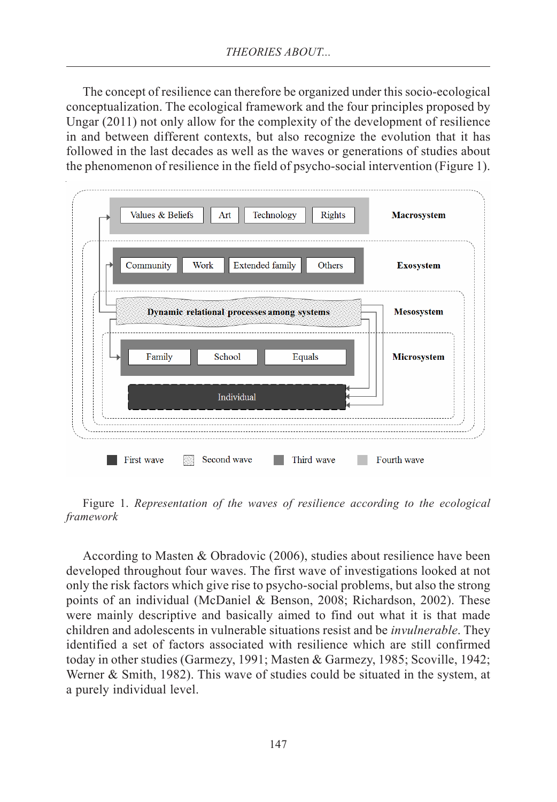The concept of resilience can therefore be organized under this socio-ecological conceptualization. The ecological framework and the four principles proposed by Ungar (2011) not only allow for the complexity of the development of resilience in and between different contexts, but also recognize the evolution that it has followed in the last decades as well as the waves or generations of studies about the phenomenon of resilience in the field of psycho-social intervention (Figure 1).

| Community                                  | Work       | <b>Extended family</b> | Others             | <b>Exosystem</b>  |
|--------------------------------------------|------------|------------------------|--------------------|-------------------|
| Dynamic relational processes among systems |            |                        |                    | <b>Mesosystem</b> |
| <b>Equals</b><br>Family<br>School          |            |                        | <b>Microsystem</b> |                   |
|                                            | Individual |                        |                    |                   |

Figure 1. *Representation of the waves of resilience according to the ecological framework*

According to Masten & Obradovic (2006), studies about resilience have been developed throughout four waves. The first wave of investigations looked at not only the risk factors which give rise to psycho-social problems, but also the strong points of an individual (McDaniel & Benson, 2008; Richardson, 2002). These were mainly descriptive and basically aimed to find out what it is that made children and adolescents in vulnerable situations resist and be *invulnerable*. They identified a set of factors associated with resilience which are still confirmed today in other studies (Garmezy, 1991; Masten & Garmezy, 1985; Scoville, 1942; Werner & Smith, 1982). This wave of studies could be situated in the system, at a purely individual level.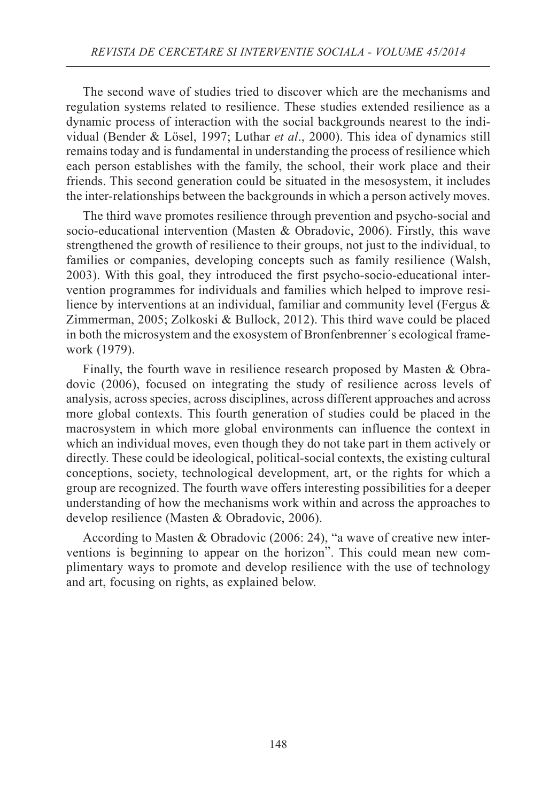The second wave of studies tried to discover which are the mechanisms and regulation systems related to resilience. These studies extended resilience as a dynamic process of interaction with the social backgrounds nearest to the individual (Bender & Lösel, 1997; Luthar *et al*., 2000). This idea of dynamics still remains today and is fundamental in understanding the process of resilience which each person establishes with the family, the school, their work place and their friends. This second generation could be situated in the mesosystem, it includes the inter-relationships between the backgrounds in which a person actively moves.

The third wave promotes resilience through prevention and psycho-social and socio-educational intervention (Masten & Obradovic, 2006). Firstly, this wave strengthened the growth of resilience to their groups, not just to the individual, to families or companies, developing concepts such as family resilience (Walsh, 2003). With this goal, they introduced the first psycho-socio-educational intervention programmes for individuals and families which helped to improve resilience by interventions at an individual, familiar and community level (Fergus & Zimmerman, 2005; Zolkoski & Bullock, 2012). This third wave could be placed in both the microsystem and the exosystem of Bronfenbrenner´s ecological framework (1979).

Finally, the fourth wave in resilience research proposed by Masten & Obradovic (2006), focused on integrating the study of resilience across levels of analysis, across species, across disciplines, across different approaches and across more global contexts. This fourth generation of studies could be placed in the macrosystem in which more global environments can influence the context in which an individual moves, even though they do not take part in them actively or directly. These could be ideological, political-social contexts, the existing cultural conceptions, society, technological development, art, or the rights for which a group are recognized. The fourth wave offers interesting possibilities for a deeper understanding of how the mechanisms work within and across the approaches to develop resilience (Masten & Obradovic, 2006).

According to Masten & Obradovic (2006: 24), "a wave of creative new interventions is beginning to appear on the horizon". This could mean new complimentary ways to promote and develop resilience with the use of technology and art, focusing on rights, as explained below.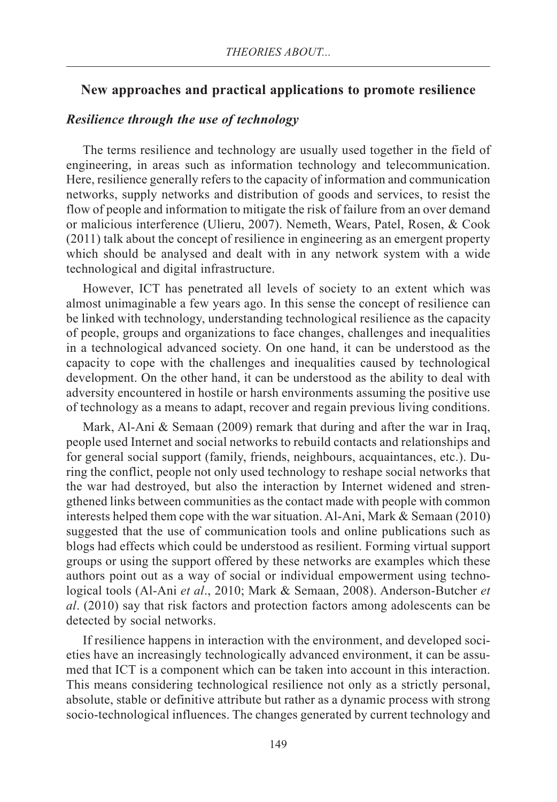#### **New approaches and practical applications to promote resilience**

#### *Resilience through the use of technology*

The terms resilience and technology are usually used together in the field of engineering, in areas such as information technology and telecommunication. Here, resilience generally refers to the capacity of information and communication networks, supply networks and distribution of goods and services, to resist the flow of people and information to mitigate the risk of failure from an over demand or malicious interference (Ulieru, 2007). Nemeth, Wears, Patel, Rosen, & Cook (2011) talk about the concept of resilience in engineering as an emergent property which should be analysed and dealt with in any network system with a wide technological and digital infrastructure.

However, ICT has penetrated all levels of society to an extent which was almost unimaginable a few years ago. In this sense the concept of resilience can be linked with technology, understanding technological resilience as the capacity of people, groups and organizations to face changes, challenges and inequalities in a technological advanced society. On one hand, it can be understood as the capacity to cope with the challenges and inequalities caused by technological development. On the other hand, it can be understood as the ability to deal with adversity encountered in hostile or harsh environments assuming the positive use of technology as a means to adapt, recover and regain previous living conditions.

Mark, Al-Ani & Semaan (2009) remark that during and after the war in Iraq, people used Internet and social networks to rebuild contacts and relationships and for general social support (family, friends, neighbours, acquaintances, etc.). During the conflict, people not only used technology to reshape social networks that the war had destroyed, but also the interaction by Internet widened and strengthened links between communities as the contact made with people with common interests helped them cope with the war situation. Al-Ani, Mark & Semaan (2010) suggested that the use of communication tools and online publications such as blogs had effects which could be understood as resilient. Forming virtual support groups or using the support offered by these networks are examples which these authors point out as a way of social or individual empowerment using technological tools (Al-Ani *et al*., 2010; Mark & Semaan, 2008). Anderson-Butcher *et al*. (2010) say that risk factors and protection factors among adolescents can be detected by social networks.

If resilience happens in interaction with the environment, and developed societies have an increasingly technologically advanced environment, it can be assumed that ICT is a component which can be taken into account in this interaction. This means considering technological resilience not only as a strictly personal, absolute, stable or definitive attribute but rather as a dynamic process with strong socio-technological influences. The changes generated by current technology and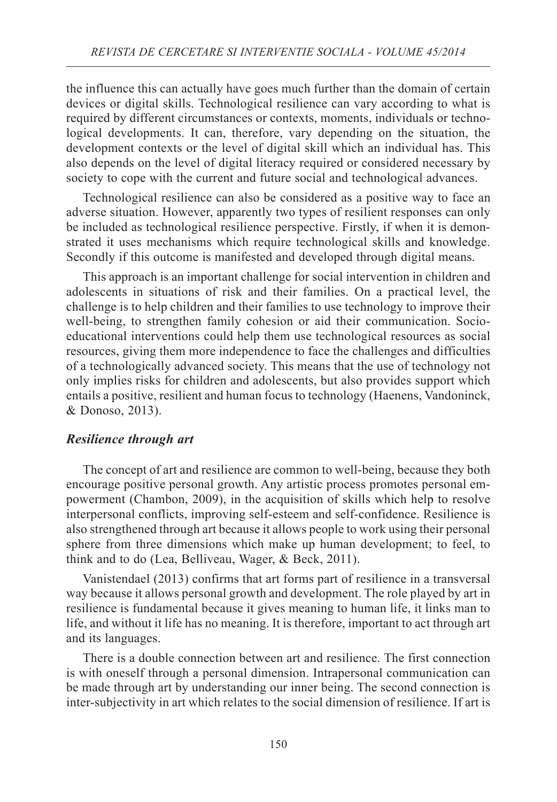the influence this can actually have goes much further than the domain of certain devices or digital skills. Technological resilience can vary according to what is required by different circumstances or contexts, moments, individuals or technological developments. It can, therefore, vary depending on the situation, the development contexts or the level of digital skill which an individual has. This also depends on the level of digital literacy required or considered necessary by society to cope with the current and future social and technological advances.

Technological resilience can also be considered as a positive way to face an adverse situation. However, apparently two types of resilient responses can only be included as technological resilience perspective. Firstly, if when it is demonstrated it uses mechanisms which require technological skills and knowledge. Secondly if this outcome is manifested and developed through digital means.

This approach is an important challenge for social intervention in children and adolescents in situations of risk and their families. On a practical level, the challenge is to help children and their families to use technology to improve their well-being, to strengthen family cohesion or aid their communication. Socioeducational interventions could help them use technological resources as social resources, giving them more independence to face the challenges and difficulties of a technologically advanced society. This means that the use of technology not only implies risks for children and adolescents, but also provides support which entails a positive, resilient and human focus to technology (Haenens, Vandoninck, & Donoso, 2013).

#### *Resilience through art*

The concept of art and resilience are common to well-being, because they both encourage positive personal growth. Any artistic process promotes personal empowerment (Chambon, 2009), in the acquisition of skills which help to resolve interpersonal conflicts, improving self-esteem and self-confidence. Resilience is also strengthened through art because it allows people to work using their personal sphere from three dimensions which make up human development; to feel, to think and to do (Lea, Belliveau, Wager, & Beck, 2011).

Vanistendael (2013) confirms that art forms part of resilience in a transversal way because it allows personal growth and development. The role played by art in resilience is fundamental because it gives meaning to human life, it links man to life, and without it life has no meaning. It is therefore, important to act through art and its languages.

There is a double connection between art and resilience. The first connection is with oneself through a personal dimension. Intrapersonal communication can be made through art by understanding our inner being. The second connection is inter-subjectivity in art which relates to the social dimension of resilience. If art is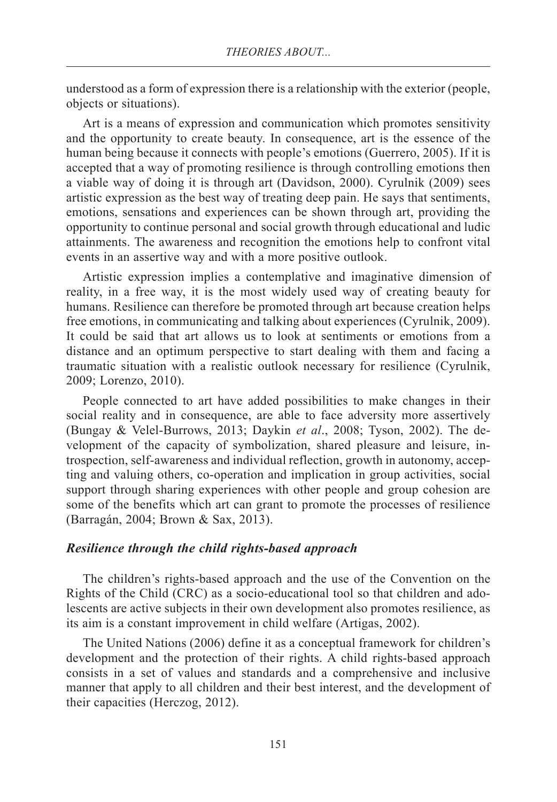understood as a form of expression there is a relationship with the exterior (people, objects or situations).

Art is a means of expression and communication which promotes sensitivity and the opportunity to create beauty. In consequence, art is the essence of the human being because it connects with people's emotions (Guerrero, 2005). If it is accepted that a way of promoting resilience is through controlling emotions then a viable way of doing it is through art (Davidson, 2000). Cyrulnik (2009) sees artistic expression as the best way of treating deep pain. He says that sentiments, emotions, sensations and experiences can be shown through art, providing the opportunity to continue personal and social growth through educational and ludic attainments. The awareness and recognition the emotions help to confront vital events in an assertive way and with a more positive outlook.

Artistic expression implies a contemplative and imaginative dimension of reality, in a free way, it is the most widely used way of creating beauty for humans. Resilience can therefore be promoted through art because creation helps free emotions, in communicating and talking about experiences (Cyrulnik, 2009). It could be said that art allows us to look at sentiments or emotions from a distance and an optimum perspective to start dealing with them and facing a traumatic situation with a realistic outlook necessary for resilience (Cyrulnik, 2009; Lorenzo, 2010).

People connected to art have added possibilities to make changes in their social reality and in consequence, are able to face adversity more assertively (Bungay & Velel-Burrows, 2013; Daykin *et al*., 2008; Tyson, 2002). The development of the capacity of symbolization, shared pleasure and leisure, introspection, self-awareness and individual reflection, growth in autonomy, accepting and valuing others, co-operation and implication in group activities, social support through sharing experiences with other people and group cohesion are some of the benefits which art can grant to promote the processes of resilience (Barragán, 2004; Brown & Sax, 2013).

#### *Resilience through the child rights-based approach*

The children's rights-based approach and the use of the Convention on the Rights of the Child (CRC) as a socio-educational tool so that children and adolescents are active subjects in their own development also promotes resilience, as its aim is a constant improvement in child welfare (Artigas, 2002).

The United Nations (2006) define it as a conceptual framework for children's development and the protection of their rights. A child rights-based approach consists in a set of values and standards and a comprehensive and inclusive manner that apply to all children and their best interest, and the development of their capacities (Herczog, 2012).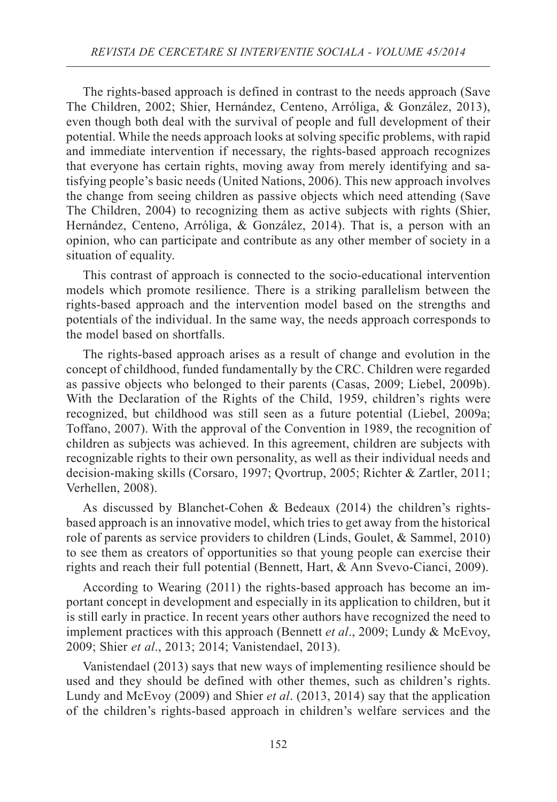The rights-based approach is defined in contrast to the needs approach (Save The Children, 2002; Shier, Hernández, Centeno, Arróliga, & González, 2013), even though both deal with the survival of people and full development of their potential. While the needs approach looks at solving specific problems, with rapid and immediate intervention if necessary, the rights-based approach recognizes that everyone has certain rights, moving away from merely identifying and satisfying people's basic needs (United Nations, 2006). This new approach involves the change from seeing children as passive objects which need attending (Save The Children, 2004) to recognizing them as active subjects with rights (Shier, Hernández, Centeno, Arróliga, & González, 2014). That is, a person with an opinion, who can participate and contribute as any other member of society in a situation of equality.

This contrast of approach is connected to the socio-educational intervention models which promote resilience. There is a striking parallelism between the rights-based approach and the intervention model based on the strengths and potentials of the individual. In the same way, the needs approach corresponds to the model based on shortfalls.

The rights-based approach arises as a result of change and evolution in the concept of childhood, funded fundamentally by the CRC. Children were regarded as passive objects who belonged to their parents (Casas, 2009; Liebel, 2009b). With the Declaration of the Rights of the Child, 1959, children's rights were recognized, but childhood was still seen as a future potential (Liebel, 2009a; Toffano, 2007). With the approval of the Convention in 1989, the recognition of children as subjects was achieved. In this agreement, children are subjects with recognizable rights to their own personality, as well as their individual needs and decision-making skills (Corsaro, 1997; Qvortrup, 2005; Richter & Zartler, 2011; Verhellen, 2008).

As discussed by Blanchet-Cohen & Bedeaux (2014) the children's rightsbased approach is an innovative model, which tries to get away from the historical role of parents as service providers to children (Linds, Goulet, & Sammel, 2010) to see them as creators of opportunities so that young people can exercise their rights and reach their full potential (Bennett, Hart, & Ann Svevo-Cianci, 2009).

According to Wearing (2011) the rights-based approach has become an important concept in development and especially in its application to children, but it is still early in practice. In recent years other authors have recognized the need to implement practices with this approach (Bennett *et al*., 2009; Lundy & McEvoy, 2009; Shier *et al*., 2013; 2014; Vanistendael, 2013).

Vanistendael (2013) says that new ways of implementing resilience should be used and they should be defined with other themes, such as children's rights. Lundy and McEvoy (2009) and Shier *et al*. (2013, 2014) say that the application of the children's rights-based approach in children's welfare services and the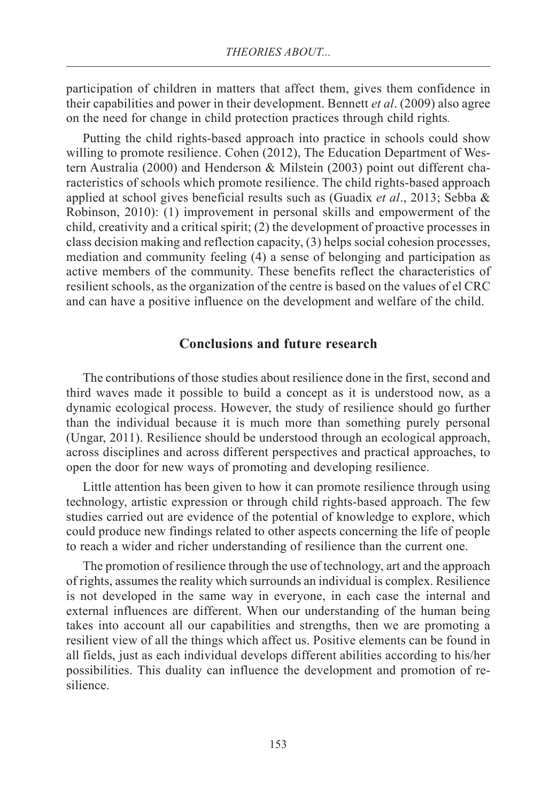participation of children in matters that affect them, gives them confidence in their capabilities and power in their development. Bennett *et al*. (2009) also agree on the need for change in child protection practices through child rights*.*

Putting the child rights-based approach into practice in schools could show willing to promote resilience. Cohen (2012), The Education Department of Western Australia (2000) and Henderson & Milstein (2003) point out different characteristics of schools which promote resilience. The child rights-based approach applied at school gives beneficial results such as (Guadix *et al*., 2013; Sebba & Robinson, 2010): (1) improvement in personal skills and empowerment of the child, creativity and a critical spirit; (2) the development of proactive processes in class decision making and reflection capacity, (3) helps social cohesion processes, mediation and community feeling (4) a sense of belonging and participation as active members of the community. These benefits reflect the characteristics of resilient schools, as the organization of the centre is based on the values of el CRC and can have a positive influence on the development and welfare of the child.

### **Conclusions and future research**

The contributions of those studies about resilience done in the first, second and third waves made it possible to build a concept as it is understood now, as a dynamic ecological process. However, the study of resilience should go further than the individual because it is much more than something purely personal (Ungar, 2011). Resilience should be understood through an ecological approach, across disciplines and across different perspectives and practical approaches, to open the door for new ways of promoting and developing resilience.

Little attention has been given to how it can promote resilience through using technology, artistic expression or through child rights-based approach. The few studies carried out are evidence of the potential of knowledge to explore, which could produce new findings related to other aspects concerning the life of people to reach a wider and richer understanding of resilience than the current one.

The promotion of resilience through the use of technology, art and the approach of rights, assumes the reality which surrounds an individual is complex. Resilience is not developed in the same way in everyone, in each case the internal and external influences are different. When our understanding of the human being takes into account all our capabilities and strengths, then we are promoting a resilient view of all the things which affect us. Positive elements can be found in all fields, just as each individual develops different abilities according to his/her possibilities. This duality can influence the development and promotion of resilience.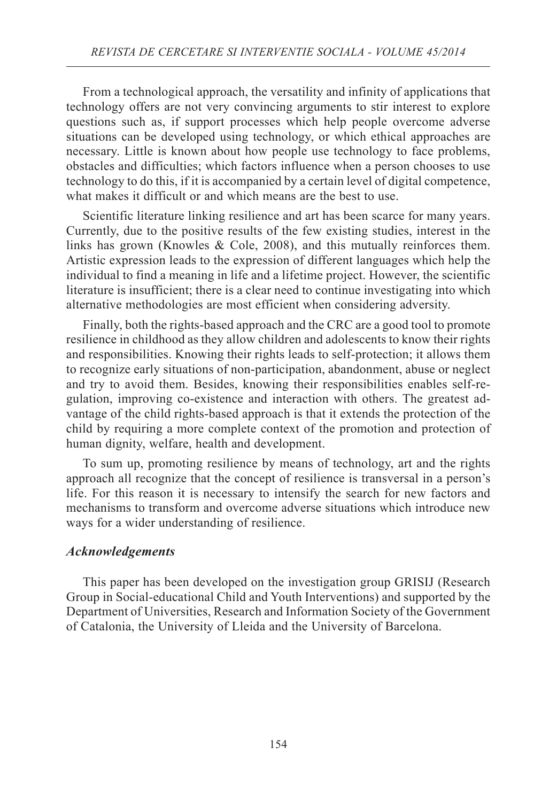From a technological approach, the versatility and infinity of applications that technology offers are not very convincing arguments to stir interest to explore questions such as, if support processes which help people overcome adverse situations can be developed using technology, or which ethical approaches are necessary. Little is known about how people use technology to face problems, obstacles and difficulties; which factors influence when a person chooses to use technology to do this, if it is accompanied by a certain level of digital competence, what makes it difficult or and which means are the best to use.

Scientific literature linking resilience and art has been scarce for many years. Currently, due to the positive results of the few existing studies, interest in the links has grown (Knowles & Cole, 2008), and this mutually reinforces them. Artistic expression leads to the expression of different languages which help the individual to find a meaning in life and a lifetime project. However, the scientific literature is insufficient; there is a clear need to continue investigating into which alternative methodologies are most efficient when considering adversity.

Finally, both the rights-based approach and the CRC are a good tool to promote resilience in childhood as they allow children and adolescents to know their rights and responsibilities. Knowing their rights leads to self-protection; it allows them to recognize early situations of non-participation, abandonment, abuse or neglect and try to avoid them. Besides, knowing their responsibilities enables self-regulation, improving co-existence and interaction with others. The greatest advantage of the child rights-based approach is that it extends the protection of the child by requiring a more complete context of the promotion and protection of human dignity, welfare, health and development.

To sum up, promoting resilience by means of technology, art and the rights approach all recognize that the concept of resilience is transversal in a person's life. For this reason it is necessary to intensify the search for new factors and mechanisms to transform and overcome adverse situations which introduce new ways for a wider understanding of resilience.

#### *Acknowledgements*

This paper has been developed on the investigation group GRISIJ (Research Group in Social-educational Child and Youth Interventions) and supported by the Department of Universities, Research and Information Society of the Government of Catalonia, the University of Lleida and the University of Barcelona.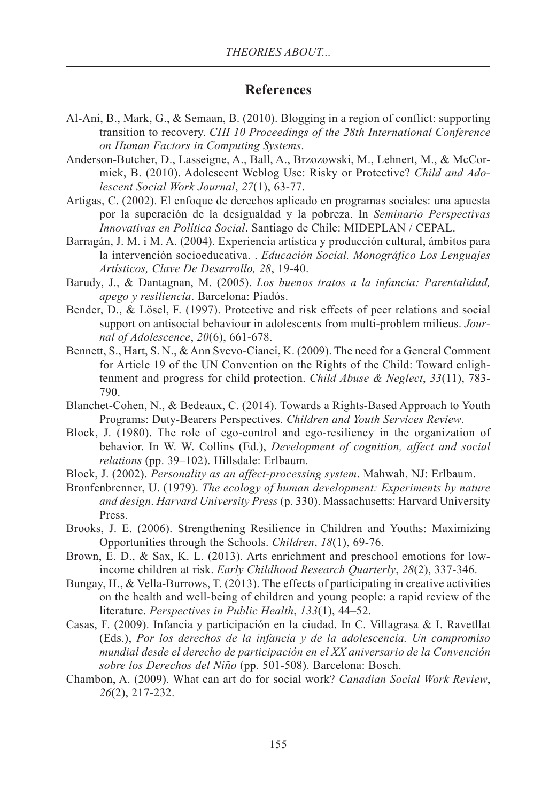#### **References**

- Al-Ani, B., Mark, G., & Semaan, B. (2010). Blogging in a region of conflict: supporting transition to recovery. *CHI 10 Proceedings of the 28th International Conference on Human Factors in Computing Systems*.
- Anderson-Butcher, D., Lasseigne, A., Ball, A., Brzozowski, M., Lehnert, M., & McCormick, B. (2010). Adolescent Weblog Use: Risky or Protective? *Child and Adolescent Social Work Journal*, *27*(1), 63-77.
- Artigas, C. (2002). El enfoque de derechos aplicado en programas sociales: una apuesta por la superación de la desigualdad y la pobreza. In *Seminario Perspectivas Innovativas en Política Social*. Santiago de Chile: MIDEPLAN / CEPAL.
- Barragán, J. M. i M. A. (2004). Experiencia artística y producción cultural, ámbitos para la intervención socioeducativa. . *Educación Social. Monográfico Los Lenguajes Artísticos, Clave De Desarrollo, 28*, 19-40.
- Barudy, J., & Dantagnan, M. (2005). *Los buenos tratos a la infancia: Parentalidad, apego y resiliencia*. Barcelona: Piadós.
- Bender, D., & Lösel, F. (1997). Protective and risk effects of peer relations and social support on antisocial behaviour in adolescents from multi-problem milieus. *Journal of Adolescence*, *20*(6), 661-678.
- Bennett, S., Hart, S. N., & Ann Svevo-Cianci, K. (2009). The need for a General Comment for Article 19 of the UN Convention on the Rights of the Child: Toward enlightenment and progress for child protection. *Child Abuse & Neglect*, *33*(11), 783- 790.
- Blanchet-Cohen, N., & Bedeaux, C. (2014). Towards a Rights-Based Approach to Youth Programs: Duty-Bearers Perspectives. *Children and Youth Services Review*.
- Block, J. (1980). The role of ego-control and ego-resiliency in the organization of behavior. In W. W. Collins (Ed.), *Development of cognition, affect and social relations* (pp. 39–102). Hillsdale: Erlbaum.
- Block, J. (2002). *Personality as an affect-processing system*. Mahwah, NJ: Erlbaum.
- Bronfenbrenner, U. (1979). *The ecology of human development: Experiments by nature and design*. *Harvard University Press* (p. 330). Massachusetts: Harvard University Press.
- Brooks, J. E. (2006). Strengthening Resilience in Children and Youths: Maximizing Opportunities through the Schools. *Children*, *18*(1), 69-76.
- Brown, E. D., & Sax, K. L. (2013). Arts enrichment and preschool emotions for lowincome children at risk. *Early Childhood Research Quarterly*, *28*(2), 337-346.
- Bungay, H., & Vella-Burrows, T. (2013). The effects of participating in creative activities on the health and well-being of children and young people: a rapid review of the literature. *Perspectives in Public Health*, *133*(1), 44–52.
- Casas, F. (2009). Infancia y participación en la ciudad. In C. Villagrasa & I. Ravetllat (Eds.), *Por los derechos de la infancia y de la adolescencia. Un compromiso mundial desde el derecho de participación en el XX aniversario de la Convención sobre los Derechos del Niño* (pp. 501-508). Barcelona: Bosch.
- Chambon, A. (2009). What can art do for social work? *Canadian Social Work Review*, *26*(2), 217-232.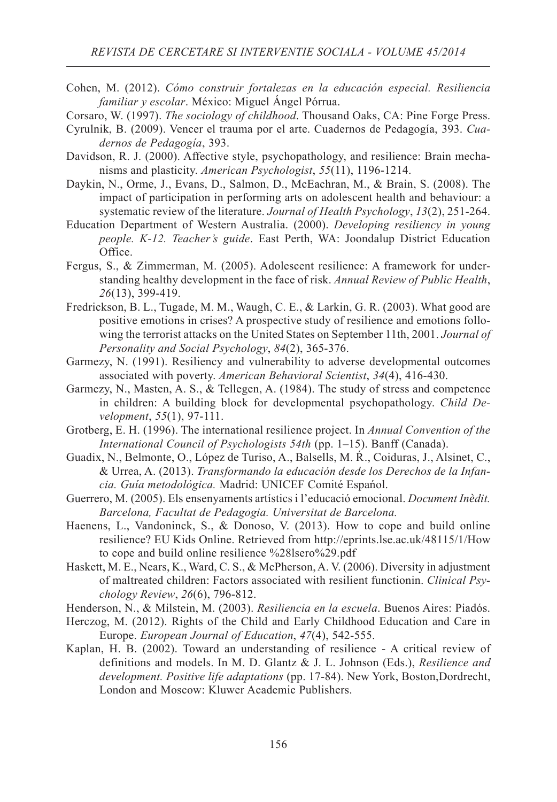Cohen, M. (2012). *Cómo construir fortalezas en la educación especial. Resiliencia familiar y escolar*. México: Miguel Ángel Pórrua.

Corsaro, W. (1997). *The sociology of childhood*. Thousand Oaks, CA: Pine Forge Press.

- Cyrulnik, B. (2009). Vencer el trauma por el arte. Cuadernos de Pedagogía, 393. *Cuadernos de Pedagogía*, 393.
- Davidson, R. J. (2000). Affective style, psychopathology, and resilience: Brain mechanisms and plasticity. *American Psychologist*, *55*(11), 1196-1214.
- Daykin, N., Orme, J., Evans, D., Salmon, D., McEachran, M., & Brain, S. (2008). The impact of participation in performing arts on adolescent health and behaviour: a systematic review of the literature. *Journal of Health Psychology*, *13*(2), 251-264.
- Education Department of Western Australia. (2000). *Developing resiliency in young people. K-12. Teacher's guide*. East Perth, WA: Joondalup District Education Office.
- Fergus, S., & Zimmerman, M. (2005). Adolescent resilience: A framework for understanding healthy development in the face of risk. *Annual Review of Public Health*, *26*(13), 399-419.
- Fredrickson, B. L., Tugade, M. M., Waugh, C. E., & Larkin, G. R. (2003). What good are positive emotions in crises? A prospective study of resilience and emotions following the terrorist attacks on the United States on September 11th, 2001. *Journal of Personality and Social Psychology*, *84*(2), 365-376.
- Garmezy, N. (1991). Resiliency and vulnerability to adverse developmental outcomes associated with poverty. *American Behavioral Scientist*, *34*(4), 416-430.
- Garmezy, N., Masten, A. S., & Tellegen, A. (1984). The study of stress and competence in children: A building block for developmental psychopathology. *Child Development*, *55*(1), 97-111.
- Grotberg, E. H. (1996). The international resilience project. In *Annual Convention of the International Council of Psychologists 54th* (pp. 1–15). Banff (Canada).
- Guadix, N., Belmonte, O., López de Turiso, A., Balsells, M. À., Coiduras, J., Alsinet, C., & Urrea, A. (2013). *Transformando la educación desde los Derechos de la Infancia. Guía metodológica.* Madrid: UNICEF Comité Español.
- Guerrero, M. (2005). Els ensenyaments artístics i l'educació emocional. *Document Inèdit. Barcelona, Facultat de Pedagogia. Universitat de Barcelona.*
- Haenens, L., Vandoninck, S., & Donoso, V. (2013). How to cope and build online resilience? EU Kids Online. Retrieved from http://eprints.lse.ac.uk/48115/1/How to cope and build online resilience %28lsero%29.pdf
- Haskett, M. E., Nears, K., Ward, C. S., & McPherson, A. V. (2006). Diversity in adjustment of maltreated children: Factors associated with resilient functionin. *Clinical Psychology Review*, *26*(6), 796-812.
- Henderson, N., & Milstein, M. (2003). *Resiliencia en la escuela*. Buenos Aires: Piadós.
- Herczog, M. (2012). Rights of the Child and Early Childhood Education and Care in Europe. *European Journal of Education*, *47*(4), 542-555.
- Kaplan, H. B. (2002). Toward an understanding of resilience A critical review of definitions and models. In M. D. Glantz & J. L. Johnson (Eds.), *Resilience and development. Positive life adaptations* (pp. 17-84). New York, Boston,Dordrecht, London and Moscow: Kluwer Academic Publishers.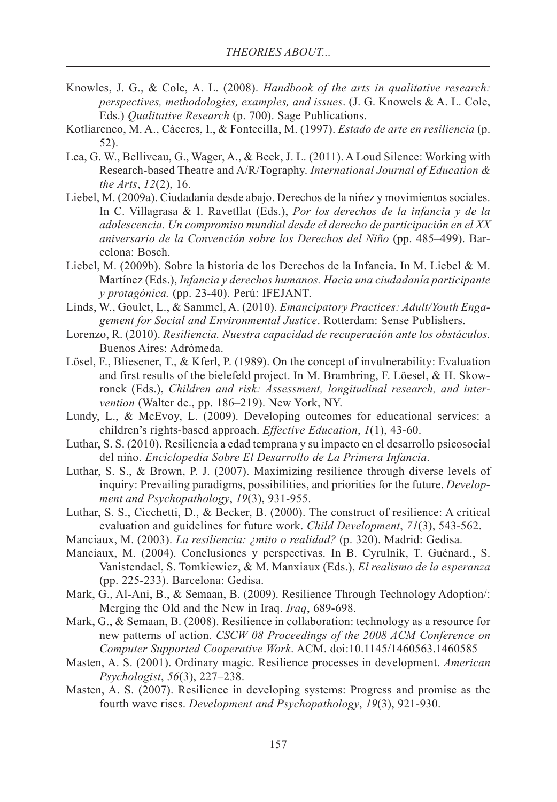- Knowles, J. G., & Cole, A. L. (2008). *Handbook of the arts in qualitative research: perspectives, methodologies, examples, and issues*. (J. G. Knowels & A. L. Cole, Eds.) *Qualitative Research* (p. 700). Sage Publications.
- Kotliarenco, M. A., Cáceres, I., & Fontecilla, M. (1997). *Estado de arte en resiliencia* (p. 52).
- Lea, G. W., Belliveau, G., Wager, A., & Beck, J. L. (2011). A Loud Silence: Working with Research-based Theatre and A/R/Tography. *International Journal of Education & the Arts*, *12*(2), 16.
- Liebel, M. (2009a). Ciudadanía desde abajo. Derechos de la niñez y movimientos sociales. In C. Villagrasa & I. Ravetllat (Eds.), *Por los derechos de la infancia y de la adolescencia. Un compromiso mundial desde el derecho de participación en el XX aniversario de la Convención sobre los Derechos del Niño* (pp. 485–499). Barcelona: Bosch.
- Liebel, M. (2009b). Sobre la historia de los Derechos de la Infancia. In M. Liebel & M. Martínez (Eds.), *Infancia y derechos humanos. Hacia una ciudadanía participante y protagónica.* (pp. 23-40). Perú: IFEJANT.
- Linds, W., Goulet, L., & Sammel, A. (2010). *Emancipatory Practices: Adult/Youth Engagement for Social and Environmental Justice*. Rotterdam: Sense Publishers.
- Lorenzo, R. (2010). *Resiliencia. Nuestra capacidad de recuperación ante los obstáculos.* Buenos Aires: Adrómeda.
- Lösel, F., Bliesener, T., & Kferl, P. (1989). On the concept of invulnerability: Evaluation and first results of the bielefeld project. In M. Brambring, F. Löesel, & H. Skowronek (Eds.), *Children and risk: Assessment, longitudinal research, and intervention* (Walter de., pp. 186–219). New York, NY.
- Lundy, L., & McEvoy, L. (2009). Developing outcomes for educational services: a children's rights-based approach. *Effective Education*, *1*(1), 43-60.
- Luthar, S. S. (2010). Resiliencia a edad temprana y su impacto en el desarrollo psicosocial del niño. *Enciclopedia Sobre El Desarrollo de La Primera Infancia*.
- Luthar, S. S., & Brown, P. J. (2007). Maximizing resilience through diverse levels of inquiry: Prevailing paradigms, possibilities, and priorities for the future. *Development and Psychopathology*, *19*(3), 931-955.
- Luthar, S. S., Cicchetti, D., & Becker, B. (2000). The construct of resilience: A critical evaluation and guidelines for future work. *Child Development*, *71*(3), 543-562.
- Manciaux, M. (2003). *La resiliencia: ¿mito o realidad?* (p. 320). Madrid: Gedisa.
- Manciaux, M. (2004). Conclusiones y perspectivas. In B. Cyrulnik, T. Guénard., S. Vanistendael, S. Tomkiewicz, & M. Manxiaux (Eds.), *El realismo de la esperanza* (pp. 225-233). Barcelona: Gedisa.
- Mark, G., Al-Ani, B., & Semaan, B. (2009). Resilience Through Technology Adoption/: Merging the Old and the New in Iraq. *Iraq*, 689-698.
- Mark, G., & Semaan, B. (2008). Resilience in collaboration: technology as a resource for new patterns of action. *CSCW 08 Proceedings of the 2008 ACM Conference on Computer Supported Cooperative Work*. ACM. doi:10.1145/1460563.1460585
- Masten, A. S. (2001). Ordinary magic. Resilience processes in development. *American Psychologist*, *56*(3), 227–238.
- Masten, A. S. (2007). Resilience in developing systems: Progress and promise as the fourth wave rises. *Development and Psychopathology*, *19*(3), 921-930.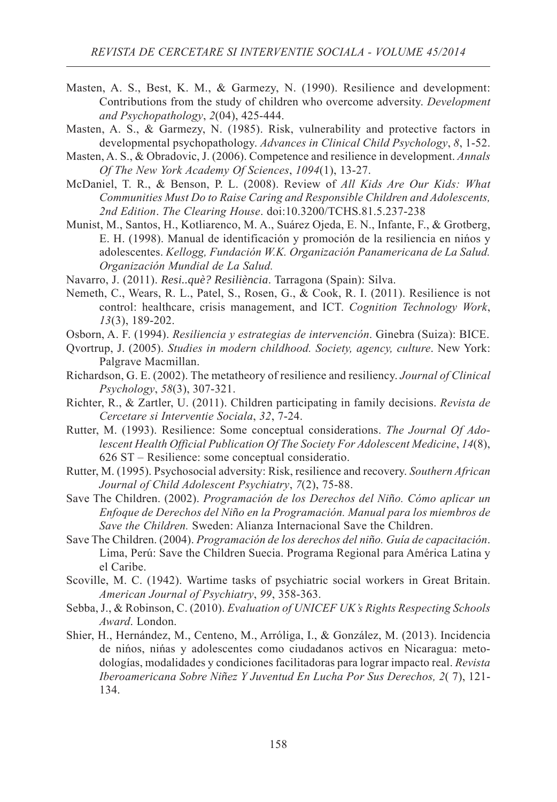- Masten, A. S., Best, K. M., & Garmezy, N. (1990). Resilience and development: Contributions from the study of children who overcome adversity. *Development and Psychopathology*, *2*(04), 425-444.
- Masten, A. S., & Garmezy, N. (1985). Risk, vulnerability and protective factors in developmental psychopathology. *Advances in Clinical Child Psychology*, *8*, 1-52.
- Masten, A. S., & Obradovic, J. (2006). Competence and resilience in development. *Annals Of The New York Academy Of Sciences*, *1094*(1), 13-27.
- McDaniel, T. R., & Benson, P. L. (2008). Review of *All Kids Are Our Kids: What Communities Must Do to Raise Caring and Responsible Children and Adolescents, 2nd Edition*. *The Clearing House*. doi:10.3200/TCHS.81.5.237-238
- Munist, M., Santos, H., Kotliarenco, M. A., Suárez Ojeda, E. N., Infante, F., & Grotberg, E. H. (1998). Manual de identificación y promoción de la resiliencia en niños y adolescentes. *Kellogg, Fundación W.K. Organización Panamericana de La Salud. Organización Mundial de La Salud.*
- Navarro, J. (2011). *Resi..què? Resiliència*. Tarragona (Spain): Silva.
- Nemeth, C., Wears, R. L., Patel, S., Rosen, G., & Cook, R. I. (2011). Resilience is not control: healthcare, crisis management, and ICT. *Cognition Technology Work*, *13*(3), 189-202.
- Osborn, A. F. (1994). *Resiliencia y estrategias de intervención*. Ginebra (Suiza): BICE.
- Qvortrup, J. (2005). *Studies in modern childhood. Society, agency, culture*. New York: Palgrave Macmillan.
- Richardson, G. E. (2002). The metatheory of resilience and resiliency. *Journal of Clinical Psychology*, *58*(3), 307-321.
- Richter, R., & Zartler, U. (2011). Children participating in family decisions. *Revista de Cercetare si Interventie Sociala*, *32*, 7-24.
- Rutter, M. (1993). Resilience: Some conceptual considerations. *The Journal Of Adolescent Health Official Publication Of The Society For Adolescent Medicine*, *14*(8), 626 ST – Resilience: some conceptual consideratio.
- Rutter, M. (1995). Psychosocial adversity: Risk, resilience and recovery. *Southern African Journal of Child Adolescent Psychiatry*, *7*(2), 75-88.
- Save The Children. (2002). *Programación de los Derechos del Niño. Cómo aplicar un Enfoque de Derechos del Niño en la Programación. Manual para los miembros de Save the Children.* Sweden: Alianza Internacional Save the Children.
- Save The Children. (2004). *Programación de los derechos del niño. Guía de capacitación*. Lima, Perú: Save the Children Suecia. Programa Regional para América Latina y el Caribe.
- Scoville, M. C. (1942). Wartime tasks of psychiatric social workers in Great Britain. *American Journal of Psychiatry*, *99*, 358-363.
- Sebba, J., & Robinson, C. (2010). *Evaluation of UNICEF UK's Rights Respecting Schools Award*. London.
- Shier, H., Hernández, M., Centeno, M., Arróliga, I., & González, M. (2013). Incidencia de niños, niñas y adolescentes como ciudadanos activos en Nicaragua: metodologías, modalidades y condiciones facilitadoras para lograr impacto real. *Revista Iberoamericana Sobre Niñez Y Juventud En Lucha Por Sus Derechos, 2*( 7), 121- 134.